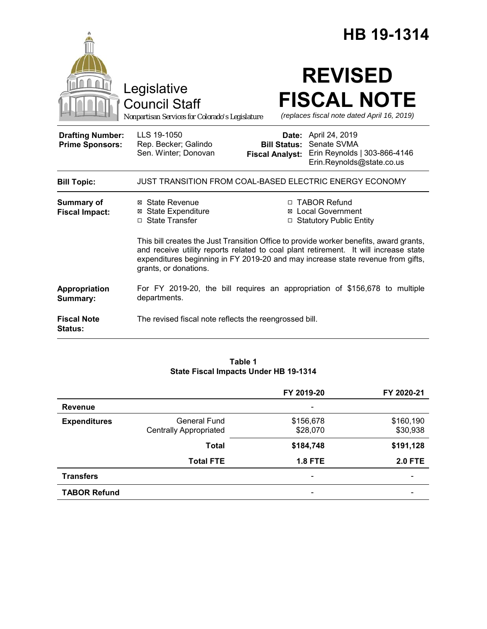|                                                   |                                                                                                                                                                                                                                                                                            |                                                        |                                                                        | HB 19-1314                   |
|---------------------------------------------------|--------------------------------------------------------------------------------------------------------------------------------------------------------------------------------------------------------------------------------------------------------------------------------------------|--------------------------------------------------------|------------------------------------------------------------------------|------------------------------|
|                                                   | Legislative<br><b>Council Staff</b><br>Nonpartisan Services for Colorado's Legislature                                                                                                                                                                                                     |                                                        | <b>REVISED</b><br>(replaces fiscal note dated April 16, 2019)          | <b>FISCAL NOTE</b>           |
| <b>Drafting Number:</b><br><b>Prime Sponsors:</b> | LLS 19-1050<br>Rep. Becker; Galindo<br>Sen. Winter; Donovan                                                                                                                                                                                                                                | Date:<br><b>Bill Status:</b><br><b>Fiscal Analyst:</b> | April 24, 2019<br>Senate SVMA<br>Erin.Reynolds@state.co.us             | Erin Reynolds   303-866-4146 |
| <b>Bill Topic:</b>                                | JUST TRANSITION FROM COAL-BASED ELECTRIC ENERGY ECONOMY                                                                                                                                                                                                                                    |                                                        |                                                                        |                              |
| <b>Summary of</b><br><b>Fiscal Impact:</b>        | ⊠ State Revenue<br><b>State Expenditure</b><br>⊠<br>□ State Transfer                                                                                                                                                                                                                       | ⊠                                                      | □ TABOR Refund<br><b>Local Government</b><br>□ Statutory Public Entity |                              |
|                                                   | This bill creates the Just Transition Office to provide worker benefits, award grants,<br>and receive utility reports related to coal plant retirement. It will increase state<br>expenditures beginning in FY 2019-20 and may increase state revenue from gifts,<br>grants, or donations. |                                                        |                                                                        |                              |
| Appropriation<br>Summary:                         | For FY 2019-20, the bill requires an appropriation of \$156,678 to multiple<br>departments.                                                                                                                                                                                                |                                                        |                                                                        |                              |
| <b>Fiscal Note</b><br><b>Status:</b>              | The revised fiscal note reflects the reengrossed bill.                                                                                                                                                                                                                                     |                                                        |                                                                        |                              |

### **Table 1 State Fiscal Impacts Under HB 19-1314**

|                     |                               | FY 2019-20     | FY 2020-21     |
|---------------------|-------------------------------|----------------|----------------|
| <b>Revenue</b>      |                               |                |                |
| <b>Expenditures</b> | General Fund                  | \$156,678      | \$160,190      |
|                     | <b>Centrally Appropriated</b> | \$28,070       | \$30,938       |
|                     | <b>Total</b>                  | \$184,748      | \$191,128      |
|                     | <b>Total FTE</b>              | <b>1.8 FTE</b> | <b>2.0 FTE</b> |
| <b>Transfers</b>    |                               |                |                |
| <b>TABOR Refund</b> |                               | -              |                |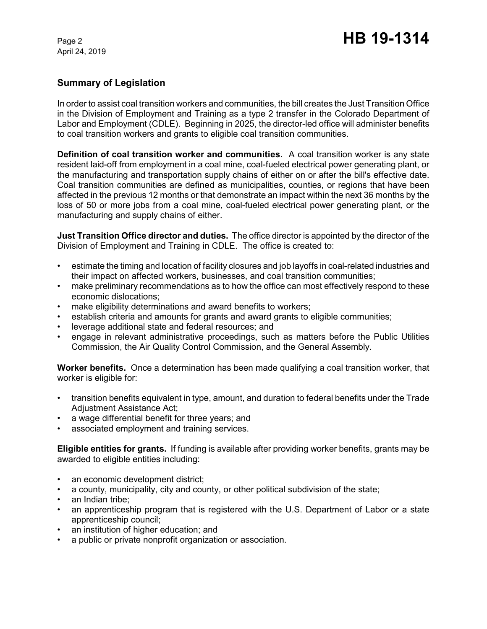## **Summary of Legislation**

In order to assist coal transition workers and communities, the bill creates the Just Transition Office in the Division of Employment and Training as a type 2 transfer in the Colorado Department of Labor and Employment (CDLE). Beginning in 2025, the director-led office will administer benefits to coal transition workers and grants to eligible coal transition communities.

**Definition of coal transition worker and communities.** A coal transition worker is any state resident laid-off from employment in a coal mine, coal-fueled electrical power generating plant, or the manufacturing and transportation supply chains of either on or after the bill's effective date. Coal transition communities are defined as municipalities, counties, or regions that have been affected in the previous 12 months or that demonstrate an impact within the next 36 months by the loss of 50 or more jobs from a coal mine, coal-fueled electrical power generating plant, or the manufacturing and supply chains of either.

**Just Transition Office director and duties.** The office director is appointed by the director of the Division of Employment and Training in CDLE. The office is created to:

- estimate the timing and location of facility closures and job layoffs in coal-related industries and their impact on affected workers, businesses, and coal transition communities;
- make preliminary recommendations as to how the office can most effectively respond to these economic dislocations;
- make eligibility determinations and award benefits to workers;
- establish criteria and amounts for grants and award grants to eligible communities;
- leverage additional state and federal resources; and
- engage in relevant administrative proceedings, such as matters before the Public Utilities Commission, the Air Quality Control Commission, and the General Assembly.

**Worker benefits.** Once a determination has been made qualifying a coal transition worker, that worker is eligible for:

- transition benefits equivalent in type, amount, and duration to federal benefits under the Trade Adjustment Assistance Act;
- a wage differential benefit for three years; and
- associated employment and training services.

**Eligible entities for grants.** If funding is available after providing worker benefits, grants may be awarded to eligible entities including:

- an economic development district;
- a county, municipality, city and county, or other political subdivision of the state;
- an Indian tribe:
- an apprenticeship program that is registered with the U.S. Department of Labor or a state apprenticeship council;
- an institution of higher education; and
- a public or private nonprofit organization or association.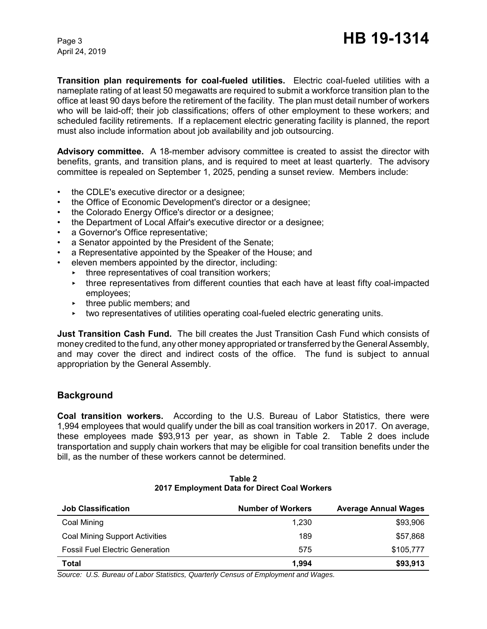**Transition plan requirements for coal-fueled utilities.** Electric coal-fueled utilities with a nameplate rating of at least 50 megawatts are required to submit a workforce transition plan to the office at least 90 days before the retirement of the facility. The plan must detail number of workers who will be laid-off; their job classifications; offers of other employment to these workers; and scheduled facility retirements. If a replacement electric generating facility is planned, the report must also include information about job availability and job outsourcing.

**Advisory committee.** A 18-member advisory committee is created to assist the director with benefits, grants, and transition plans, and is required to meet at least quarterly. The advisory committee is repealed on September 1, 2025, pending a sunset review. Members include:

- the CDLE's executive director or a designee;
- the Office of Economic Development's director or a designee;
- the Colorado Energy Office's director or a designee;
- the Department of Local Affair's executive director or a designee;
- a Governor's Office representative;
- a Senator appointed by the President of the Senate;
- a Representative appointed by the Speaker of the House; and
- eleven members appointed by the director, including:
	- $\triangleright$  three representatives of coal transition workers;
	- $\rightarrow$  three representatives from different counties that each have at least fifty coal-impacted employees;
	- $\cdot$  three public members; and
	- $\triangleright$  two representatives of utilities operating coal-fueled electric generating units.

**Just Transition Cash Fund.** The bill creates the Just Transition Cash Fund which consists of money credited to the fund, any other money appropriated or transferred by the General Assembly, and may cover the direct and indirect costs of the office. The fund is subject to annual appropriation by the General Assembly.

## **Background**

**Coal transition workers.** According to the U.S. Bureau of Labor Statistics, there were 1,994 employees that would qualify under the bill as coal transition workers in 2017. On average, these employees made \$93,913 per year, as shown in Table 2. Table 2 does include transportation and supply chain workers that may be eligible for coal transition benefits under the bill, as the number of these workers cannot be determined.

| <b>Job Classification</b>              | <b>Number of Workers</b> | <b>Average Annual Wages</b> |
|----------------------------------------|--------------------------|-----------------------------|
| Coal Mining                            | 1,230                    | \$93,906                    |
| <b>Coal Mining Support Activities</b>  | 189                      | \$57,868                    |
| <b>Fossil Fuel Electric Generation</b> | 575                      | \$105,777                   |
| Total                                  | 1.994                    | \$93,913                    |

**Table 2 2017 Employment Data for Direct Coal Workers**

*Source: U.S. Bureau of Labor Statistics, Quarterly Census of Employment and Wages.*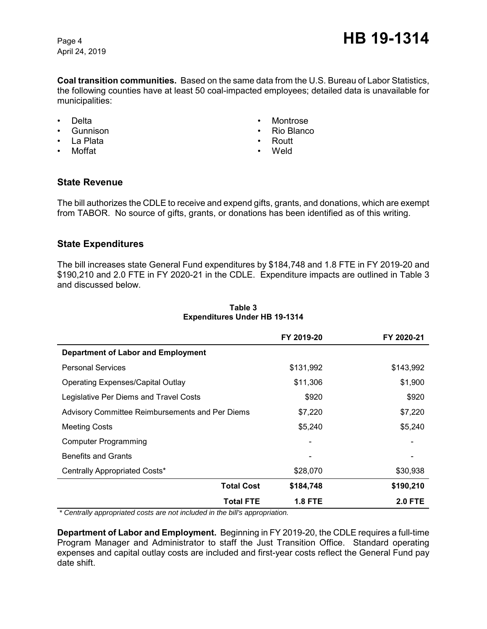**Coal transition communities.** Based on the same data from the U.S. Bureau of Labor Statistics, the following counties have at least 50 coal-impacted employees; detailed data is unavailable for municipalities:

- Delta
- Gunnison
- La Plata
- Moffat
- **Montrose**
- Rio Blanco
- Routt
- Weld

### **State Revenue**

The bill authorizes the CDLE to receive and expend gifts, grants, and donations, which are exempt from TABOR. No source of gifts, grants, or donations has been identified as of this writing.

### **State Expenditures**

The bill increases state General Fund expenditures by \$184,748 and 1.8 FTE in FY 2019-20 and \$190,210 and 2.0 FTE in FY 2020-21 in the CDLE. Expenditure impacts are outlined in Table 3 and discussed below.

|                                                 | FY 2019-20     | FY 2020-21     |
|-------------------------------------------------|----------------|----------------|
| <b>Department of Labor and Employment</b>       |                |                |
| <b>Personal Services</b>                        | \$131,992      | \$143,992      |
| <b>Operating Expenses/Capital Outlay</b>        | \$11,306       | \$1,900        |
| Legislative Per Diems and Travel Costs          | \$920          | \$920          |
| Advisory Committee Reimbursements and Per Diems | \$7,220        | \$7,220        |
| Meeting Costs                                   | \$5,240        | \$5,240        |
| <b>Computer Programming</b>                     |                |                |
| <b>Benefits and Grants</b>                      |                |                |
| Centrally Appropriated Costs*                   | \$28,070       | \$30,938       |
| <b>Total Cost</b>                               | \$184,748      | \$190,210      |
| <b>Total FTE</b>                                | <b>1.8 FTE</b> | <b>2.0 FTE</b> |

#### **Table 3 Expenditures Under HB 19-1314**

 *\* Centrally appropriated costs are not included in the bill's appropriation.*

**Department of Labor and Employment.** Beginning in FY 2019-20, the CDLE requires a full-time Program Manager and Administrator to staff the Just Transition Office. Standard operating expenses and capital outlay costs are included and first-year costs reflect the General Fund pay date shift.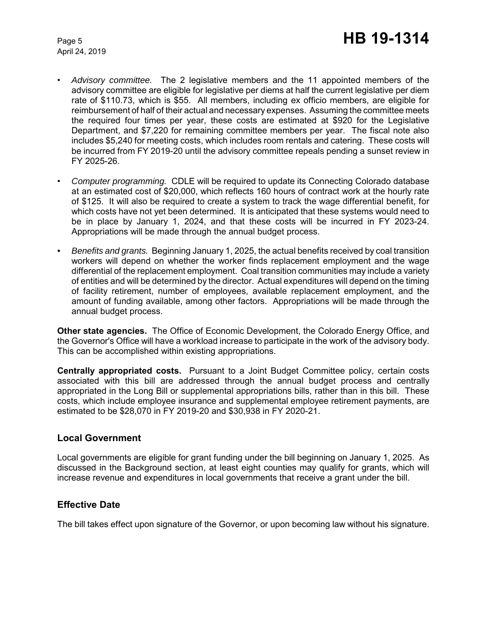- *Advisory committee.* The 2 legislative members and the 11 appointed members of the advisory committee are eligible for legislative per diems at half the current legislative per diem rate of \$110.73, which is \$55. All members, including ex officio members, are eligible for reimbursement of half of their actual and necessary expenses. Assuming the committee meets the required four times per year, these costs are estimated at \$920 for the Legislative Department, and \$7,220 for remaining committee members per year. The fiscal note also includes \$5,240 for meeting costs, which includes room rentals and catering. These costs will be incurred from FY 2019-20 until the advisory committee repeals pending a sunset review in FY 2025-26.
- *Computer programming.* CDLE will be required to update its Connecting Colorado database at an estimated cost of \$20,000, which reflects 160 hours of contract work at the hourly rate of \$125. It will also be required to create a system to track the wage differential benefit, for which costs have not yet been determined. It is anticipated that these systems would need to be in place by January 1, 2024, and that these costs will be incurred in FY 2023-24. Appropriations will be made through the annual budget process.
- *• Benefits and grants.* Beginning January 1, 2025, the actual benefits received by coal transition workers will depend on whether the worker finds replacement employment and the wage differential of the replacement employment. Coal transition communities may include a variety of entities and will be determined by the director. Actual expenditures will depend on the timing of facility retirement, number of employees, available replacement employment, and the amount of funding available, among other factors. Appropriations will be made through the annual budget process.

**Other state agencies.** The Office of Economic Development, the Colorado Energy Office, and the Governor's Office will have a workload increase to participate in the work of the advisory body. This can be accomplished within existing appropriations.

**Centrally appropriated costs.** Pursuant to a Joint Budget Committee policy, certain costs associated with this bill are addressed through the annual budget process and centrally appropriated in the Long Bill or supplemental appropriations bills, rather than in this bill. These costs, which include employee insurance and supplemental employee retirement payments, are estimated to be \$28,070 in FY 2019-20 and \$30,938 in FY 2020-21.

### **Local Government**

Local governments are eligible for grant funding under the bill beginning on January 1, 2025. As discussed in the Background section, at least eight counties may qualify for grants, which will increase revenue and expenditures in local governments that receive a grant under the bill.

## **Effective Date**

The bill takes effect upon signature of the Governor, or upon becoming law without his signature.